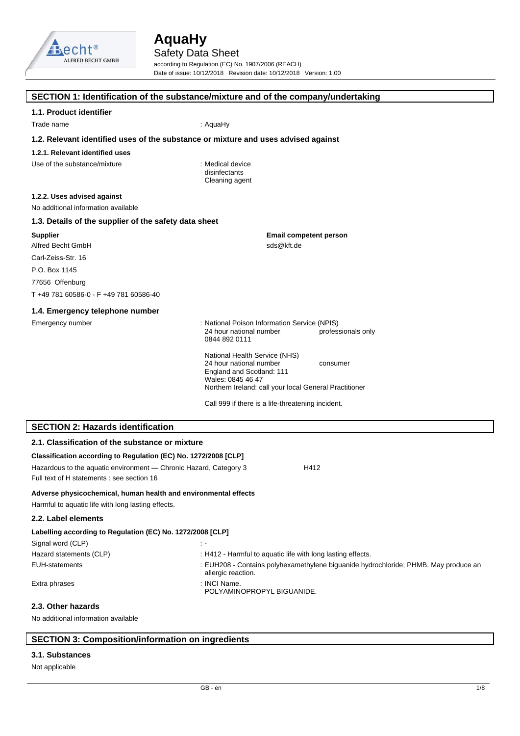

Safety Data Sheet according to Regulation (EC) No. 1907/2006 (REACH) Date of issue: 10/12/2018 Revision date: 10/12/2018 Version: 1.00

|                                                                                                                       | SECTION 1: Identification of the substance/mixture and of the company/undertaking                                      |
|-----------------------------------------------------------------------------------------------------------------------|------------------------------------------------------------------------------------------------------------------------|
| 1.1. Product identifier                                                                                               |                                                                                                                        |
| Trade name                                                                                                            | : AquaHy                                                                                                               |
| 1.2. Relevant identified uses of the substance or mixture and uses advised against                                    |                                                                                                                        |
| 1.2.1. Relevant identified uses                                                                                       |                                                                                                                        |
| Use of the substance/mixture                                                                                          | : Medical device<br>disinfectants<br>Cleaning agent                                                                    |
| 1.2.2. Uses advised against<br>No additional information available                                                    |                                                                                                                        |
| 1.3. Details of the supplier of the safety data sheet                                                                 |                                                                                                                        |
| <b>Supplier</b>                                                                                                       | <b>Email competent person</b>                                                                                          |
| Alfred Becht GmbH                                                                                                     | sds@kft.de                                                                                                             |
| Carl-Zeiss-Str. 16                                                                                                    |                                                                                                                        |
| P.O. Box 1145                                                                                                         |                                                                                                                        |
| 77656 Offenburg                                                                                                       |                                                                                                                        |
| T +49 781 60586-0 - F +49 781 60586-40                                                                                |                                                                                                                        |
| 1.4. Emergency telephone number                                                                                       |                                                                                                                        |
| Emergency number                                                                                                      | : National Poison Information Service (NPIS)<br>professionals only<br>24 hour national number<br>0844 892 0111         |
|                                                                                                                       | National Health Service (NHS)<br>24 hour national number<br>consumer<br>England and Scotland: 111<br>Wales: 0845 46 47 |
|                                                                                                                       | Northern Ireland: call your local General Practitioner                                                                 |
|                                                                                                                       | Call 999 if there is a life-threatening incident.                                                                      |
| <b>SECTION 2: Hazards identification</b>                                                                              |                                                                                                                        |
| 2.1. Classification of the substance or mixture                                                                       |                                                                                                                        |
| Classification according to Regulation (EC) No. 1272/2008 [CLP]                                                       |                                                                                                                        |
| Hazardous to the aquatic environment - Chronic Hazard, Category 3<br>Full text of H statements : see section 16       | H412                                                                                                                   |
| Adverse physicochemical, human health and environmental effects<br>Harmful to aquatic life with long lasting effects. |                                                                                                                        |
| 2.2. Label elements                                                                                                   |                                                                                                                        |
| Labelling according to Regulation (EC) No. 1272/2008 [CLP]                                                            |                                                                                                                        |
| Signal word (CLP)                                                                                                     | $\ddot{\phantom{1}}$                                                                                                   |
| Hazard statements (CLP)                                                                                               | : H412 - Harmful to aquatic life with long lasting effects.                                                            |
| <b>EUH-statements</b>                                                                                                 | : EUH208 - Contains polyhexamethylene biguanide hydrochloride; PHMB. May produce an<br>allergic reaction.              |
| Extra phrases                                                                                                         | : INCI Name.<br>POLYAMINOPROPYL BIGUANIDE.                                                                             |

## **2.3. Other hazards**

No additional information available

## **SECTION 3: Composition/information on ingredients**

#### **3.1. Substances**

Not applicable

 $\mathcal{L}_{\mathcal{A}}$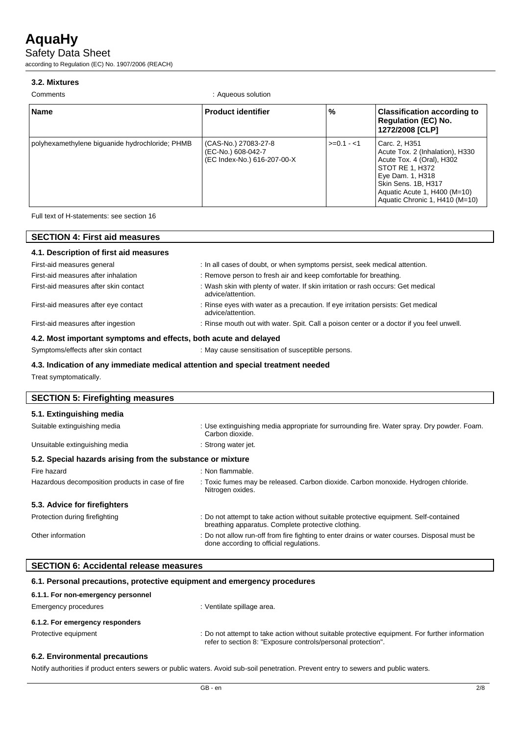Safety Data Sheet

according to Regulation (EC) No. 1907/2006 (REACH)

### **3.2. Mixtures**

Comments : Aqueous solution

| <b>Name</b>                                     | <b>Product identifier</b>                                                 | %           | <b>Classification according to</b><br><b>Regulation (EC) No.</b><br>1272/2008 [CLP]                                                                                                                           |
|-------------------------------------------------|---------------------------------------------------------------------------|-------------|---------------------------------------------------------------------------------------------------------------------------------------------------------------------------------------------------------------|
| polyhexamethylene biguanide hydrochloride; PHMB | (CAS-No.) 27083-27-8<br>(EC-No.) 608-042-7<br>(EC Index-No.) 616-207-00-X | $>=0.1 - 1$ | Carc. 2, H351<br>Acute Tox. 2 (Inhalation), H330<br>Acute Tox. 4 (Oral), H302<br>STOT RE 1, H372<br>Eye Dam. 1, H318<br>Skin Sens. 1B, H317<br>Aquatic Acute 1, H400 (M=10)<br>Aquatic Chronic 1, H410 (M=10) |

Full text of H-statements: see section 16

| <b>SECTION 4: First aid measures</b><br>4.1. Description of first aid measures |                                                                                                       |  |
|--------------------------------------------------------------------------------|-------------------------------------------------------------------------------------------------------|--|
|                                                                                |                                                                                                       |  |
| First-aid measures after inhalation                                            | : Remove person to fresh air and keep comfortable for breathing.                                      |  |
| First-aid measures after skin contact                                          | : Wash skin with plenty of water. If skin irritation or rash occurs: Get medical<br>advice/attention. |  |
| First-aid measures after eye contact                                           | : Rinse eyes with water as a precaution. If eye irritation persists: Get medical<br>advice/attention. |  |
| First-aid measures after ingestion                                             | : Rinse mouth out with water. Spit. Call a poison center or a doctor if you feel unwell.              |  |
| 4.2. Most important symptoms and effects, both acute and delayed               |                                                                                                       |  |
| Symptoms/effects after skin contact                                            | : May cause sensitisation of susceptible persons.                                                     |  |

#### **4.3. Indication of any immediate medical attention and special treatment needed**

Treat symptomatically.

 $\overline{\phantom{a}}$ 

| <b>SECTION 5: Firefighting measures</b>                    |                                                                                                                                             |
|------------------------------------------------------------|---------------------------------------------------------------------------------------------------------------------------------------------|
| 5.1. Extinguishing media                                   |                                                                                                                                             |
| Suitable extinguishing media                               | : Use extinguishing media appropriate for surrounding fire. Water spray. Dry powder. Foam.<br>Carbon dioxide.                               |
| Unsuitable extinguishing media                             | : Strong water jet.                                                                                                                         |
| 5.2. Special hazards arising from the substance or mixture |                                                                                                                                             |
| Fire hazard                                                | : Non flammable.                                                                                                                            |
| Hazardous decomposition products in case of fire           | : Toxic fumes may be released. Carbon dioxide. Carbon monoxide. Hydrogen chloride.<br>Nitrogen oxides.                                      |
| 5.3. Advice for firefighters                               |                                                                                                                                             |
| Protection during firefighting                             | : Do not attempt to take action without suitable protective equipment. Self-contained<br>breathing apparatus. Complete protective clothing. |
| Other information                                          | : Do not allow run-off from fire fighting to enter drains or water courses. Disposal must be<br>done according to official regulations.     |

| 6.1. Personal precautions, protective equipment and emergency procedures |                                                                                                                                                                |
|--------------------------------------------------------------------------|----------------------------------------------------------------------------------------------------------------------------------------------------------------|
| 6.1.1. For non-emergency personnel                                       |                                                                                                                                                                |
| Emergency procedures                                                     | : Ventilate spillage area.                                                                                                                                     |
| 6.1.2. For emergency responders                                          |                                                                                                                                                                |
| Protective equipment                                                     | : Do not attempt to take action without suitable protective equipment. For further information<br>refer to section 8: "Exposure controls/personal protection". |

### **6.2. Environmental precautions**

Notify authorities if product enters sewers or public waters. Avoid sub-soil penetration. Prevent entry to sewers and public waters.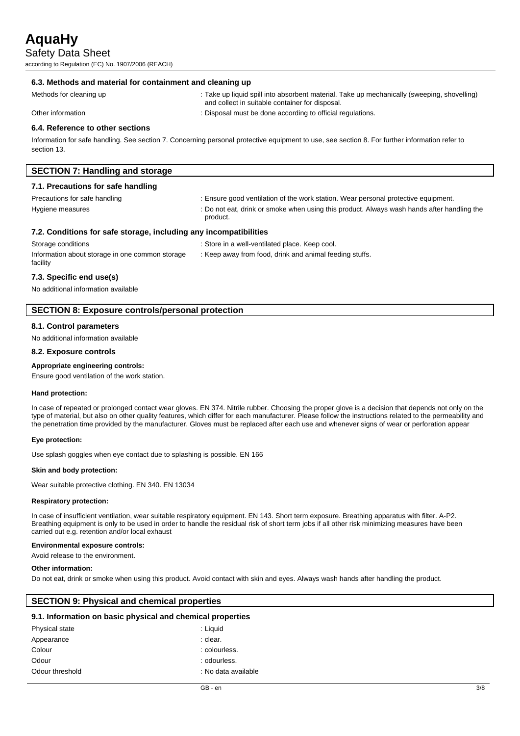Safety Data Sheet

according to Regulation (EC) No. 1907/2006 (REACH)

#### **6.3. Methods and material for containment and cleaning up**

Methods for cleaning up : Take up liquid spill into absorbent material. Take up mechanically (sweeping, shovelling) and collect in suitable container for disposal.

Other information **interval in the contract of the Contract of Contract and Contract of Contract Contract of Contract Contract of Contract of Contract of Contract of Contract of Contract of Contract of Contract of Contract** 

#### **6.4. Reference to other sections**

Information for safe handling. See section 7. Concerning personal protective equipment to use, see section 8. For further information refer to section 13.

| <b>SECTION 7: Handling and storage</b> |                                                                                    |
|----------------------------------------|------------------------------------------------------------------------------------|
| 7.1. Precautions for safe handling     |                                                                                    |
| Precautions for safe handling          | : Ensure good ventilation of the work station. Wear personal protective equipment. |
|                                        |                                                                                    |

Hygiene measures : Do not eat, drink or smoke when using this product. Always wash hands after handling the product.

#### **7.2. Conditions for safe storage, including any incompatibilities**

| Storage conditions                              | : Store in a well-ventilated place. Keep cool.          |
|-------------------------------------------------|---------------------------------------------------------|
| Information about storage in one common storage | : Keep away from food, drink and animal feeding stuffs. |
| facility                                        |                                                         |

#### **7.3. Specific end use(s)**

No additional information available

### **SECTION 8: Exposure controls/personal protection**

#### **8.1. Control parameters**

No additional information available

#### **8.2. Exposure controls**

**Appropriate engineering controls:**

Ensure good ventilation of the work station.

#### **Hand protection:**

In case of repeated or prolonged contact wear gloves. EN 374. Nitrile rubber. Choosing the proper glove is a decision that depends not only on the type of material, but also on other quality features, which differ for each manufacturer. Please follow the instructions related to the permeability and the penetration time provided by the manufacturer. Gloves must be replaced after each use and whenever signs of wear or perforation appear

#### **Eye protection:**

Use splash goggles when eye contact due to splashing is possible. EN 166

#### **Skin and body protection:**

Wear suitable protective clothing. EN 340. EN 13034

#### **Respiratory protection:**

In case of insufficient ventilation, wear suitable respiratory equipment. EN 143. Short term exposure. Breathing apparatus with filter. A-P2. Breathing equipment is only to be used in order to handle the residual risk of short term jobs if all other risk minimizing measures have been carried out e.g. retention and/or local exhaust

#### **Environmental exposure controls:**

Avoid release to the environment.

#### **Other information:**

Do not eat, drink or smoke when using this product. Avoid contact with skin and eyes. Always wash hands after handling the product.

### **SECTION 9: Physical and chemical properties**

#### **9.1. Information on basic physical and chemical properties**

| Physical state  | : Liguid            |
|-----------------|---------------------|
| Appearance      | : clear.            |
| Colour          | : colourless.       |
| Odour           | : odourless.        |
| Odour threshold | : No data available |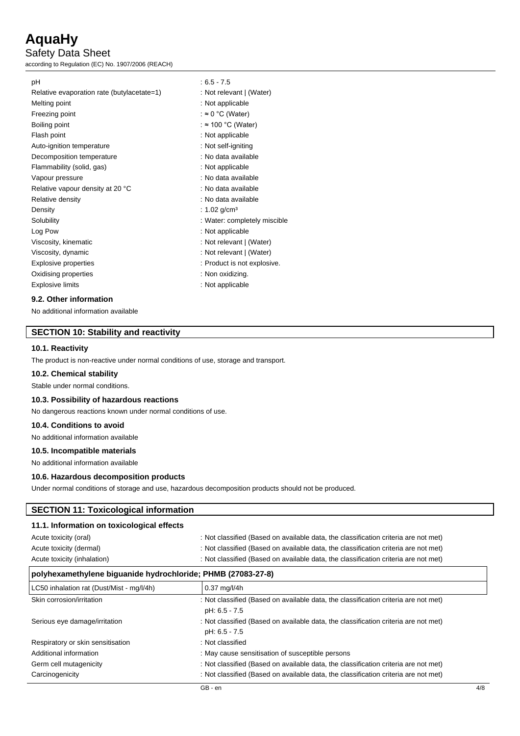Safety Data Sheet

according to Regulation (EC) No. 1907/2006 (REACH)

| рH                                                                  | $: 6.5 - 7.5$                |
|---------------------------------------------------------------------|------------------------------|
| Relative evaporation rate (butylacetate=1)                          | : Not relevant   (Water)     |
| Melting point                                                       | : Not applicable             |
| Freezing point                                                      | : $\approx 0$ °C (Water)     |
| Boiling point                                                       | : $\approx$ 100 °C (Water)   |
| Flash point                                                         | : Not applicable             |
| Auto-ignition temperature                                           | : Not self-igniting          |
| Decomposition temperature                                           | : No data available          |
| Flammability (solid, gas)                                           | : Not applicable             |
| Vapour pressure                                                     | : No data available          |
| Relative vapour density at 20 °C                                    | : No data available          |
| Relative density                                                    | : No data available          |
| Density                                                             | : 1.02 g/cm <sup>3</sup>     |
| Solubility                                                          | : Water: completely miscible |
| Log Pow                                                             | : Not applicable             |
| Viscosity, kinematic                                                | : Not relevant   (Water)     |
| Viscosity, dynamic                                                  | : Not relevant   (Water)     |
| Explosive properties                                                | : Product is not explosive.  |
| Oxidising properties                                                | : Non oxidizing.             |
| <b>Explosive limits</b>                                             | : Not applicable             |
| $\mathbf{A} \mathbf{A}$ $\mathbf{A}$ the set of second $\mathbf{A}$ |                              |

#### **9.2. Other information**

No additional information available

### **SECTION 10: Stability and reactivity**

#### **10.1. Reactivity**

The product is non-reactive under normal conditions of use, storage and transport.

### **10.2. Chemical stability**

Stable under normal conditions.

#### **10.3. Possibility of hazardous reactions**

No dangerous reactions known under normal conditions of use.

#### **10.4. Conditions to avoid**

No additional information available

#### **10.5. Incompatible materials**

No additional information available

#### **10.6. Hazardous decomposition products**

Under normal conditions of storage and use, hazardous decomposition products should not be produced.

#### **SECTION 11: Toxicological information**

### **11.1. Information on toxicological effects**

| Acute toxicity (oral)       | : Not classified (Based on available data, the classification criteria are not met) |
|-----------------------------|-------------------------------------------------------------------------------------|
| Acute toxicity (dermal)     | : Not classified (Based on available data, the classification criteria are not met) |
| Acute toxicity (inhalation) | : Not classified (Based on available data, the classification criteria are not met) |

| polyhexamethylene biguanide hydrochloride; PHMB (27083-27-8) |                                                                                     |  |
|--------------------------------------------------------------|-------------------------------------------------------------------------------------|--|
| LC50 inhalation rat (Dust/Mist - mg/l/4h)                    | $0.37 \text{ mg/l} / 4h$                                                            |  |
| Skin corrosion/irritation                                    | : Not classified (Based on available data, the classification criteria are not met) |  |
|                                                              | pH: 6.5 - 7.5                                                                       |  |
| Serious eye damage/irritation                                | : Not classified (Based on available data, the classification criteria are not met) |  |
|                                                              | pH: 6.5 - 7.5                                                                       |  |
| Respiratory or skin sensitisation                            | : Not classified                                                                    |  |
| Additional information                                       | : May cause sensitisation of susceptible persons                                    |  |
| Germ cell mutagenicity                                       | : Not classified (Based on available data, the classification criteria are not met) |  |
| Carcinogenicity                                              | : Not classified (Based on available data, the classification criteria are not met) |  |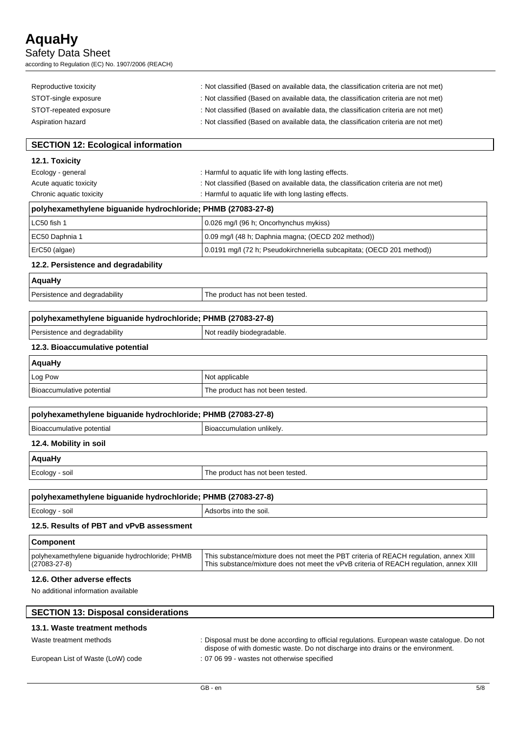Safety Data Sheet

according to Regulation (EC) No. 1907/2006 (REACH)

| Reproductive toxicity  | : Not classified (Based on available data, the classification criteria are not met) |
|------------------------|-------------------------------------------------------------------------------------|
| STOT-single exposure   | : Not classified (Based on available data, the classification criteria are not met) |
| STOT-repeated exposure | : Not classified (Based on available data, the classification criteria are not met) |
| Aspiration hazard      | : Not classified (Based on available data, the classification criteria are not met) |

## **SECTION 12: Ecological information**

**12.1. Toxicity**

| Ecology - general        | : Harmful to aquatic life with long lasting effects.                                |
|--------------------------|-------------------------------------------------------------------------------------|
| Acute aguatic toxicity   | : Not classified (Based on available data, the classification criteria are not met) |
| Chronic aquatic toxicity | : Harmful to aquatic life with long lasting effects.                                |
|                          |                                                                                     |

| polyhexamethylene biguanide hydrochloride; PHMB (27083-27-8) |                                                                  |
|--------------------------------------------------------------|------------------------------------------------------------------|
| $\Box$ $\cap$ $\Box$ $\Box$ $\Box$ $\Box$                    | $0.000 \text{ m}$ at $0.00 \text{ m}$ . On a subject of $\alpha$ |

| $(0.09 \text{ mg}/(48 \text{ h})$ ; Daphnia magna; (OECD 202 method))<br>  EC50 Daphnia 1 |  |
|-------------------------------------------------------------------------------------------|--|
|                                                                                           |  |
| 0.0191 mg/l (72 h; Pseudokirchneriella subcapitata; (OECD 201 method))<br>ErC50 (algae)   |  |

## **12.2. Persistence and degradability**

| <b>AquaHy</b>                 |                                  |
|-------------------------------|----------------------------------|
| Persistence and degradability | The product has not been tested. |
|                               |                                  |

| polyhexamethylene biguanide hydrochloride; PHMB (27083-27-8) |                            |
|--------------------------------------------------------------|----------------------------|
| Persistence and degradability                                | Not readily biodegradable. |
|                                                              |                            |

#### **12.3. Bioaccumulative potential**

| <b>AquaHy</b>             |                                  |
|---------------------------|----------------------------------|
| Log Pow                   | Not applicable                   |
| Bioaccumulative potential | The product has not been tested. |

| polyhexamethylene biquanide hydrochloride; PHMB (27083-27-8) |                           |  |
|--------------------------------------------------------------|---------------------------|--|
| Bioaccumulative potential                                    | Bioaccumulation unlikely. |  |
| 12.4. Mobility in soil                                       |                           |  |

#### **r**

| AquaHy         |                                  |
|----------------|----------------------------------|
| Ecology - soil | The product has not been tested. |
|                |                                  |

| polyhexamethylene biguanide hydrochloride; PHMB (27083-27-8)                                                                      |                        |
|-----------------------------------------------------------------------------------------------------------------------------------|------------------------|
| Ecology - soil                                                                                                                    | Adsorbs into the soil. |
| $\mathbf{A} \bullet \mathbf{B}$ , and the set of $\mathbf{A} \bullet \mathbf{B}$ , and the set of $\mathbf{A} \bullet \mathbf{B}$ |                        |

## **12.5. Results of PBT and vPvB assessment**

| <b>Component</b>                                                      |                                                                                                                                                                                 |
|-----------------------------------------------------------------------|---------------------------------------------------------------------------------------------------------------------------------------------------------------------------------|
| polyhexamethylene biguanide hydrochloride; PHMB<br>$(27083 - 27 - 8)$ | This substance/mixture does not meet the PBT criteria of REACH regulation, annex XIII<br>This substance/mixture does not meet the vPvB criteria of REACH regulation, annex XIII |
| 49.0 Other educate offering                                           |                                                                                                                                                                                 |

## **12.6. Other adverse effects**

No additional information available

| <b>SECTION 13: Disposal considerations</b> |                                                                                                                                                                                 |
|--------------------------------------------|---------------------------------------------------------------------------------------------------------------------------------------------------------------------------------|
| 13.1. Waste treatment methods              |                                                                                                                                                                                 |
| Waste treatment methods                    | : Disposal must be done according to official regulations. European waste catalogue. Do not<br>dispose of with domestic waste. Do not discharge into drains or the environment. |
| European List of Waste (LoW) code          | : 07 06 99 - wastes not otherwise specified                                                                                                                                     |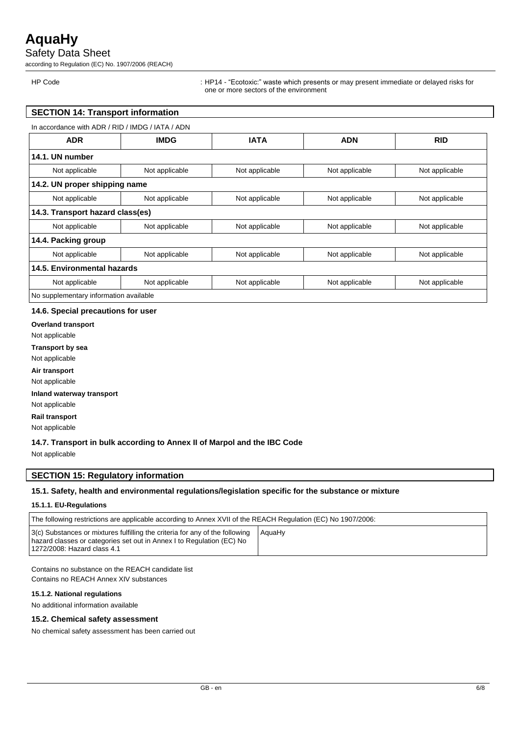Safety Data Sheet

according to Regulation (EC) No. 1907/2006 (REACH)

HP Code : HP14 - "Ecotoxic:" waste which presents or may present immediate or delayed risks for one or more sectors of the environment

## **SECTION 14: Transport information**

| In accordance with ADR / RID / IMDG / IATA / ADN |                |                |                |                |
|--------------------------------------------------|----------------|----------------|----------------|----------------|
| <b>ADR</b>                                       | <b>IMDG</b>    | <b>IATA</b>    | <b>ADN</b>     | <b>RID</b>     |
| 14.1. UN number                                  |                |                |                |                |
| Not applicable                                   | Not applicable | Not applicable | Not applicable | Not applicable |
| 14.2. UN proper shipping name                    |                |                |                |                |
| Not applicable                                   | Not applicable | Not applicable | Not applicable | Not applicable |
| 14.3. Transport hazard class(es)                 |                |                |                |                |
| Not applicable                                   | Not applicable | Not applicable | Not applicable | Not applicable |
| 14.4. Packing group                              |                |                |                |                |
| Not applicable                                   | Not applicable | Not applicable | Not applicable | Not applicable |
| 14.5. Environmental hazards                      |                |                |                |                |
| Not applicable                                   | Not applicable | Not applicable | Not applicable | Not applicable |
| No supplementary information available           |                |                |                |                |

#### **14.6. Special precautions for user**

**Overland transport**

Not applicable

**Transport by sea**

Not applicable

**Air transport**

Not applicable

**Inland waterway transport**

Not applicable

**Rail transport**

Not applicable

#### **14.7. Transport in bulk according to Annex II of Marpol and the IBC Code**

Not applicable

### **SECTION 15: Regulatory information**

#### **15.1. Safety, health and environmental regulations/legislation specific for the substance or mixture**

#### **15.1.1. EU-Regulations**

| The following restrictions are applicable according to Annex XVII of the REACH Regulation (EC) No 1907/2006:                                                                         |        |  |  |  |
|--------------------------------------------------------------------------------------------------------------------------------------------------------------------------------------|--------|--|--|--|
| 3(c) Substances or mixtures fulfilling the criteria for any of the following<br>hazard classes or categories set out in Annex I to Regulation (EC) No<br>1272/2008: Hazard class 4.1 | AquaHv |  |  |  |

Contains no substance on the REACH candidate list Contains no REACH Annex XIV substances

#### **15.1.2. National regulations**

No additional information available

### **15.2. Chemical safety assessment**

No chemical safety assessment has been carried out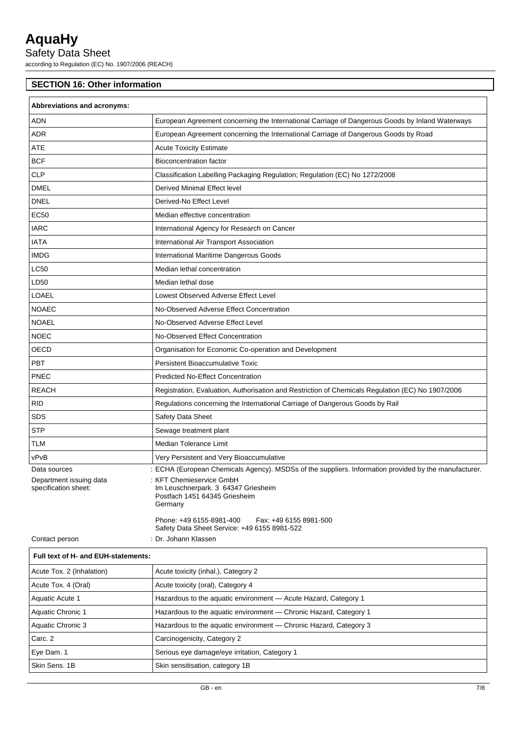Safety Data Sheet

according to Regulation (EC) No. 1907/2006 (REACH)

## **SECTION 16: Other information**

| Abbreviations and acronyms:                     |                                                                                                             |  |
|-------------------------------------------------|-------------------------------------------------------------------------------------------------------------|--|
| <b>ADN</b>                                      | European Agreement concerning the International Carriage of Dangerous Goods by Inland Waterways             |  |
| <b>ADR</b>                                      | European Agreement concerning the International Carriage of Dangerous Goods by Road                         |  |
| ATE                                             | <b>Acute Toxicity Estimate</b>                                                                              |  |
| <b>BCF</b>                                      | <b>Bioconcentration factor</b>                                                                              |  |
| <b>CLP</b>                                      | Classification Labelling Packaging Regulation; Regulation (EC) No 1272/2008                                 |  |
| <b>DMEL</b>                                     | <b>Derived Minimal Effect level</b>                                                                         |  |
| <b>DNEL</b>                                     | Derived-No Effect Level                                                                                     |  |
| EC50                                            | Median effective concentration                                                                              |  |
| <b>IARC</b>                                     | International Agency for Research on Cancer                                                                 |  |
| IATA                                            | International Air Transport Association                                                                     |  |
| <b>IMDG</b>                                     | International Maritime Dangerous Goods                                                                      |  |
| <b>LC50</b>                                     | Median lethal concentration                                                                                 |  |
| LD50                                            | Median lethal dose                                                                                          |  |
| LOAEL                                           | Lowest Observed Adverse Effect Level                                                                        |  |
| <b>NOAEC</b>                                    | No-Observed Adverse Effect Concentration                                                                    |  |
| <b>NOAEL</b>                                    | No-Observed Adverse Effect Level                                                                            |  |
| <b>NOEC</b>                                     | No-Observed Effect Concentration                                                                            |  |
| <b>OECD</b>                                     | Organisation for Economic Co-operation and Development                                                      |  |
| PBT                                             | <b>Persistent Bioaccumulative Toxic</b>                                                                     |  |
| <b>PNEC</b>                                     | <b>Predicted No-Effect Concentration</b>                                                                    |  |
| <b>REACH</b>                                    | Registration, Evaluation, Authorisation and Restriction of Chemicals Regulation (EC) No 1907/2006           |  |
| <b>RID</b>                                      | Regulations concerning the International Carriage of Dangerous Goods by Rail                                |  |
| SDS                                             | Safety Data Sheet                                                                                           |  |
| <b>STP</b>                                      | Sewage treatment plant                                                                                      |  |
| TLM                                             | Median Tolerance Limit                                                                                      |  |
| vPvB                                            | Very Persistent and Very Bioaccumulative                                                                    |  |
| Data sources                                    | : ECHA (European Chemicals Agency). MSDSs of the suppliers. Information provided by the manufacturer.       |  |
| Department issuing data<br>specification sheet: | : KFT Chemieservice GmbH<br>Im Leuschnerpark. 3 64347 Griesheim<br>Postfach 1451 64345 Griesheim<br>Germany |  |
|                                                 | Phone: +49 6155-8981-400<br>Fax: +49 6155 8981-500<br>Safety Data Sheet Service: +49 6155 8981-522          |  |
| Contact person                                  | : Dr. Johann Klassen                                                                                        |  |
| Full text of H- and EUH-statements:             |                                                                                                             |  |

| Acute Tox. 2 (Inhalation) | Acute toxicity (inhal.), Category 2                               |  |
|---------------------------|-------------------------------------------------------------------|--|
| Acute Tox. 4 (Oral)       | Acute toxicity (oral), Category 4                                 |  |
| Aquatic Acute 1           | Hazardous to the aquatic environment - Acute Hazard, Category 1   |  |
| Aquatic Chronic 1         | Hazardous to the aquatic environment - Chronic Hazard, Category 1 |  |
| Aquatic Chronic 3         | Hazardous to the aquatic environment — Chronic Hazard, Category 3 |  |
| Carc. 2                   | Carcinogenicity, Category 2                                       |  |
| Eye Dam. 1                | Serious eye damage/eye irritation, Category 1                     |  |
| Skin Sens, 1B             | Skin sensitisation, category 1B                                   |  |
|                           |                                                                   |  |